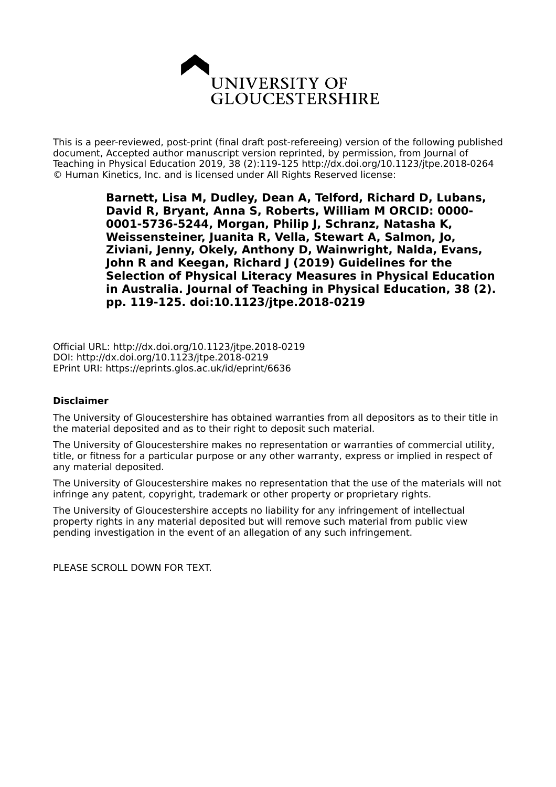

This is a peer-reviewed, post-print (final draft post-refereeing) version of the following published document, Accepted author manuscript version reprinted, by permission, from Journal of Teaching in Physical Education 2019, 38 (2):119-125 http://dx.doi.org/10.1123/jtpe.2018-0264 © Human Kinetics, Inc. and is licensed under All Rights Reserved license:

> **Barnett, Lisa M, Dudley, Dean A, Telford, Richard D, Lubans, David R, Bryant, Anna S, Roberts, William M ORCID: 0000- 0001-5736-5244, Morgan, Philip J, Schranz, Natasha K, Weissensteiner, Juanita R, Vella, Stewart A, Salmon, Jo, Ziviani, Jenny, Okely, Anthony D, Wainwright, Nalda, Evans, John R and Keegan, Richard J (2019) Guidelines for the Selection of Physical Literacy Measures in Physical Education in Australia. Journal of Teaching in Physical Education, 38 (2). pp. 119-125. doi:10.1123/jtpe.2018-0219**

Official URL: http://dx.doi.org/10.1123/jtpe.2018-0219 DOI: http://dx.doi.org/10.1123/jtpe.2018-0219 EPrint URI: https://eprints.glos.ac.uk/id/eprint/6636

# **Disclaimer**

The University of Gloucestershire has obtained warranties from all depositors as to their title in the material deposited and as to their right to deposit such material.

The University of Gloucestershire makes no representation or warranties of commercial utility, title, or fitness for a particular purpose or any other warranty, express or implied in respect of any material deposited.

The University of Gloucestershire makes no representation that the use of the materials will not infringe any patent, copyright, trademark or other property or proprietary rights.

The University of Gloucestershire accepts no liability for any infringement of intellectual property rights in any material deposited but will remove such material from public view pending investigation in the event of an allegation of any such infringement.

PLEASE SCROLL DOWN FOR TEXT.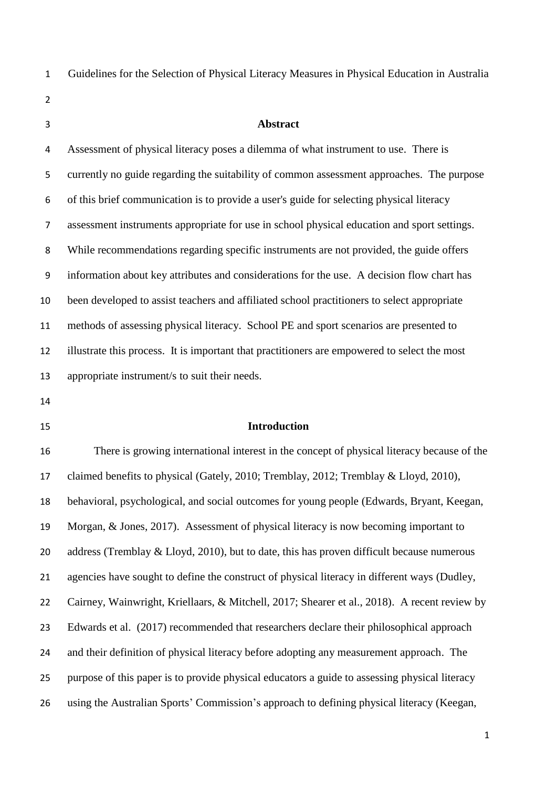Guidelines for the Selection of Physical Literacy Measures in Physical Education in Australia

- 
- 

#### **Abstract**

 Assessment of physical literacy poses a dilemma of what instrument to use. There is currently no guide regarding the suitability of common assessment approaches. The purpose of this brief communication is to provide a user's guide for selecting physical literacy assessment instruments appropriate for use in school physical education and sport settings. While recommendations regarding specific instruments are not provided, the guide offers information about key attributes and considerations for the use. A decision flow chart has been developed to assist teachers and affiliated school practitioners to select appropriate methods of assessing physical literacy. School PE and sport scenarios are presented to illustrate this process. It is important that practitioners are empowered to select the most appropriate instrument/s to suit their needs.

- 
- 

## **Introduction**

 There is growing international interest in the concept of physical literacy because of the claimed benefits to physical (Gately, 2010; Tremblay, 2012; Tremblay & Lloyd, 2010), behavioral, psychological, and social outcomes for young people (Edwards, Bryant, Keegan, Morgan, & Jones, 2017). Assessment of physical literacy is now becoming important to 20 address (Tremblay & Lloyd, 2010), but to date, this has proven difficult because numerous agencies have sought to define the construct of physical literacy in different ways (Dudley, Cairney, Wainwright, Kriellaars, & Mitchell, 2017; Shearer et al., 2018). A recent review by Edwards et al. (2017) recommended that researchers declare their philosophical approach and their definition of physical literacy before adopting any measurement approach. The purpose of this paper is to provide physical educators a guide to assessing physical literacy using the Australian Sports' Commission's approach to defining physical literacy (Keegan,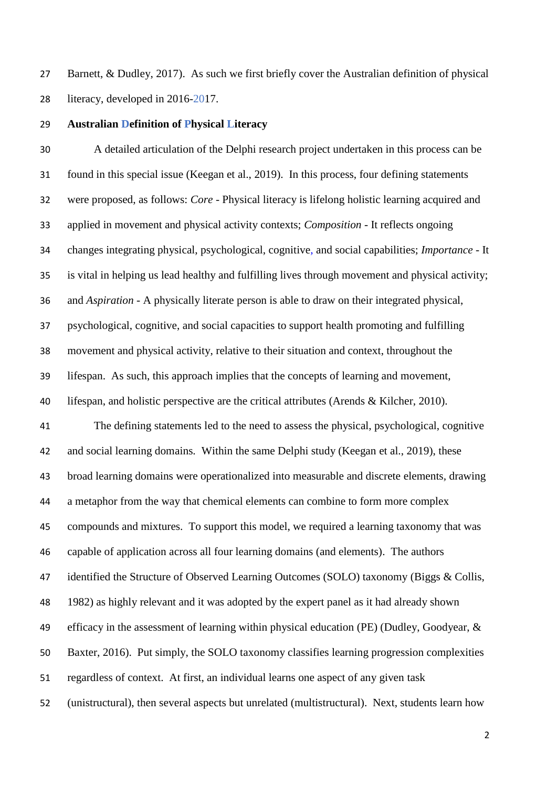Barnett, & Dudley, 2017). As such we first briefly cover the Australian definition of physical 28 literacy, developed in 2016-2017.

## **Australian Definition of Physical Literacy**

 A detailed articulation of the Delphi research project undertaken in this process can be found in this special issue (Keegan et al., 2019). In this process, four defining statements were proposed, as follows: *Core -* Physical literacy is lifelong holistic learning acquired and applied in movement and physical activity contexts; *Composition -* It reflects ongoing changes integrating physical, psychological, cognitive, and social capabilities; *Importance* - It is vital in helping us lead healthy and fulfilling lives through movement and physical activity; and *Aspiration -* A physically literate person is able to draw on their integrated physical, psychological, cognitive, and social capacities to support health promoting and fulfilling movement and physical activity, relative to their situation and context, throughout the lifespan. As such, this approach implies that the concepts of learning and movement, lifespan, and holistic perspective are the critical attributes (Arends & Kilcher, 2010). The defining statements led to the need to assess the physical, psychological, cognitive and social learning domains*.* Within the same Delphi study (Keegan et al., 2019), these broad learning domains were operationalized into measurable and discrete elements*,* drawing a metaphor from the way that chemical elements can combine to form more complex compounds and mixtures. To support this model, we required a learning taxonomy that was capable of application across all four learning domains (and elements). The authors 47 identified the Structure of Observed Learning Outcomes (SOLO) taxonomy (Biggs & Collis, 1982) as highly relevant and it was adopted by the expert panel as it had already shown efficacy in the assessment of learning within physical education (PE) (Dudley, Goodyear, & Baxter, 2016). Put simply, the SOLO taxonomy classifies learning progression complexities regardless of context. At first, an individual learns one aspect of any given task (unistructural), then several aspects but unrelated (multistructural). Next, students learn how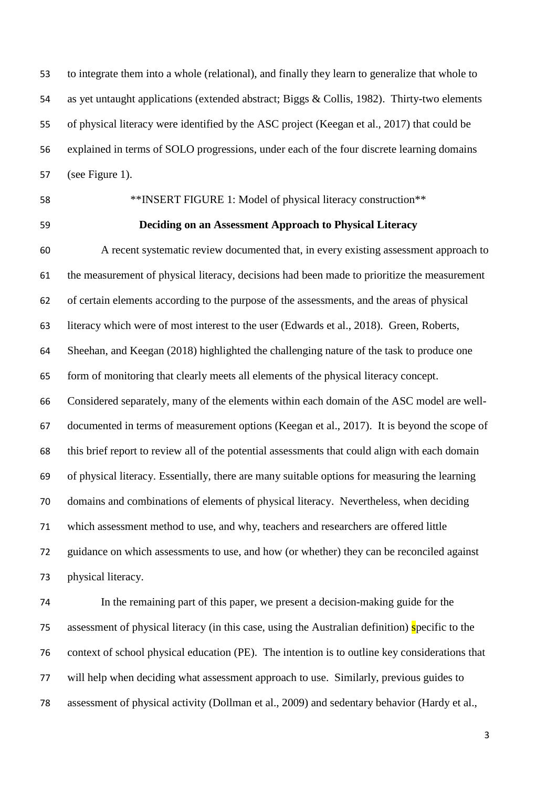to integrate them into a whole (relational), and finally they learn to generalize that whole to as yet untaught applications (extended abstract; Biggs & Collis, 1982). Thirty-two elements of physical literacy were identified by the ASC project (Keegan et al., 2017) that could be explained in terms of SOLO progressions, under each of the four discrete learning domains (see Figure 1).

# \*\*INSERT FIGURE 1: Model of physical literacy construction\*\*

**Deciding on an Assessment Approach to Physical Literacy**

 A recent systematic review documented that, in every existing assessment approach to the measurement of physical literacy, decisions had been made to prioritize the measurement of certain elements according to the purpose of the assessments, and the areas of physical literacy which were of most interest to the user (Edwards et al., 2018). Green, Roberts, Sheehan, and Keegan (2018) highlighted the challenging nature of the task to produce one form of monitoring that clearly meets all elements of the physical literacy concept. Considered separately, many of the elements within each domain of the ASC model are well- documented in terms of measurement options (Keegan et al., 2017). It is beyond the scope of this brief report to review all of the potential assessments that could align with each domain of physical literacy. Essentially, there are many suitable options for measuring the learning domains and combinations of elements of physical literacy. Nevertheless, when deciding which assessment method to use, and why, teachers and researchers are offered little guidance on which assessments to use, and how (or whether) they can be reconciled against physical literacy.

 In the remaining part of this paper, we present a decision-making guide for the assessment of physical literacy (in this case, using the Australian definition) specific to the context of school physical education (PE). The intention is to outline key considerations that will help when deciding what assessment approach to use. Similarly, previous guides to assessment of physical activity (Dollman et al., 2009) and sedentary behavior (Hardy et al.,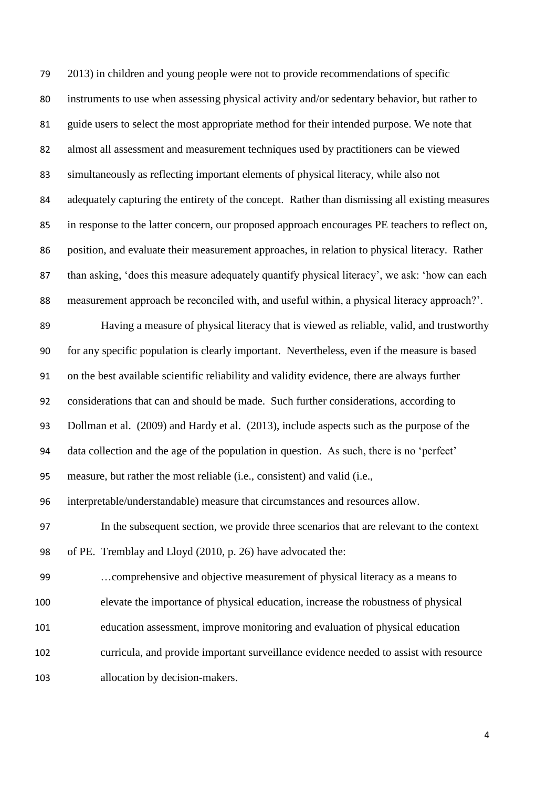2013) in children and young people were not to provide recommendations of specific instruments to use when assessing physical activity and/or sedentary behavior, but rather to guide users to select the most appropriate method for their intended purpose. We note that almost all assessment and measurement techniques used by practitioners can be viewed simultaneously as reflecting important elements of physical literacy, while also not adequately capturing the entirety of the concept. Rather than dismissing all existing measures in response to the latter concern, our proposed approach encourages PE teachers to reflect on, position, and evaluate their measurement approaches, in relation to physical literacy. Rather than asking, 'does this measure adequately quantify physical literacy', we ask: 'how can each 88 measurement approach be reconciled with, and useful within, a physical literacy approach?'. Having a measure of physical literacy that is viewed as reliable, valid, and trustworthy for any specific population is clearly important. Nevertheless, even if the measure is based on the best available scientific reliability and validity evidence, there are always further considerations that can and should be made. Such further considerations, according to Dollman et al. (2009) and Hardy et al. (2013), include aspects such as the purpose of the data collection and the age of the population in question. As such, there is no 'perfect' measure, but rather the most reliable (i.e., consistent) and valid (i.e., interpretable/understandable) measure that circumstances and resources allow. In the subsequent section, we provide three scenarios that are relevant to the context of PE. Tremblay and Lloyd (2010, p. 26) have advocated the: …comprehensive and objective measurement of physical literacy as a means to elevate the importance of physical education, increase the robustness of physical education assessment, improve monitoring and evaluation of physical education curricula, and provide important surveillance evidence needed to assist with resource allocation by decision-makers.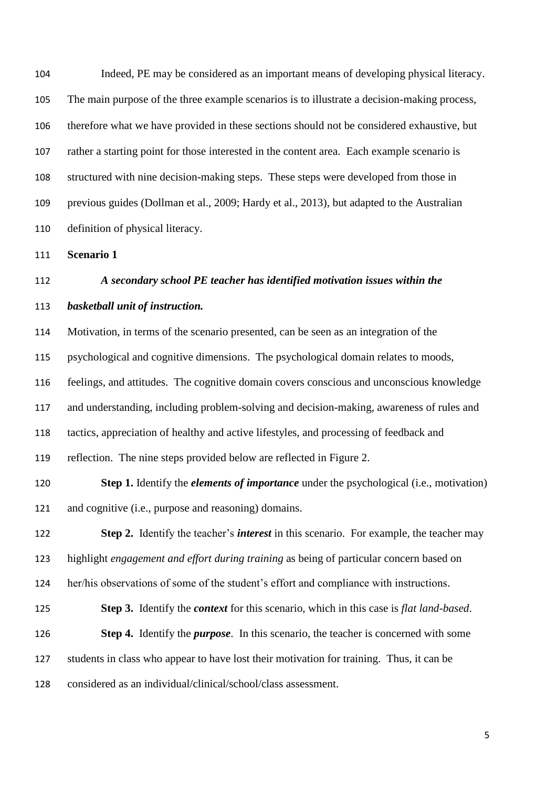Indeed, PE may be considered as an important means of developing physical literacy. The main purpose of the three example scenarios is to illustrate a decision-making process, therefore what we have provided in these sections should not be considered exhaustive, but rather a starting point for those interested in the content area. Each example scenario is structured with nine decision-making steps. These steps were developed from those in previous guides (Dollman et al., 2009; Hardy et al., 2013), but adapted to the Australian definition of physical literacy.

**Scenario 1**

# *A secondary school PE teacher has identified motivation issues within the basketball unit of instruction.*

 Motivation, in terms of the scenario presented, can be seen as an integration of the psychological and cognitive dimensions. The psychological domain relates to moods, feelings, and attitudes. The cognitive domain covers conscious and unconscious knowledge and understanding, including problem-solving and decision-making, awareness of rules and tactics, appreciation of healthy and active lifestyles, and processing of feedback and reflection. The nine steps provided below are reflected in Figure 2.

 **Step 1.** Identify the *elements of importance* under the psychological (i.e., motivation) and cognitive (i.e., purpose and reasoning) domains.

 **Step 2.** Identify the teacher's *interest* in this scenario. For example, the teacher may highlight *engagement and effort during training* as being of particular concern based on her/his observations of some of the student's effort and compliance with instructions.

 **Step 3.** Identify the *context* for this scenario, which in this case is *flat land-based*. **Step 4.** Identify the *purpose*. In this scenario, the teacher is concerned with some students in class who appear to have lost their motivation for training. Thus, it can be considered as an individual/clinical/school/class assessment.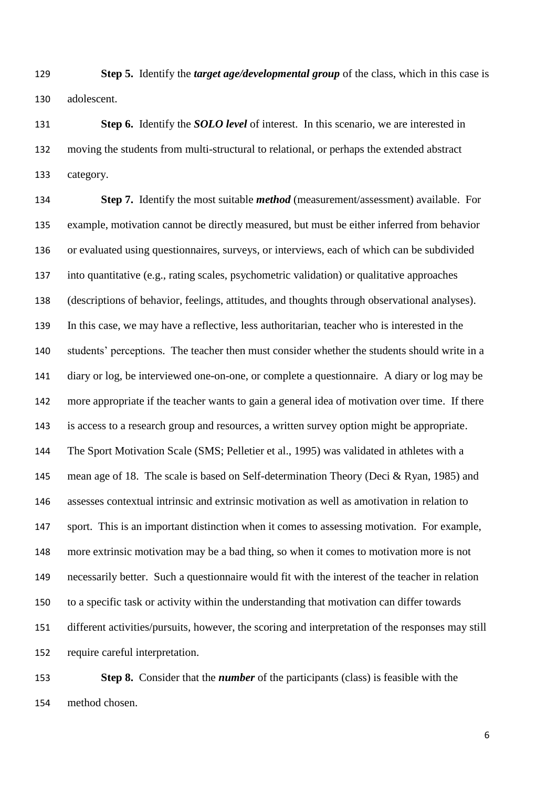**Step 5.** Identify the *target age/developmental group* of the class, which in this case is adolescent.

 **Step 6.** Identify the *SOLO level* of interest. In this scenario, we are interested in moving the students from multi-structural to relational, or perhaps the extended abstract category.

 **Step 7.** Identify the most suitable *method* (measurement/assessment) available. For example, motivation cannot be directly measured, but must be either inferred from behavior or evaluated using questionnaires, surveys, or interviews, each of which can be subdivided into quantitative (e.g., rating scales, psychometric validation) or qualitative approaches (descriptions of behavior, feelings, attitudes, and thoughts through observational analyses). In this case, we may have a reflective, less authoritarian, teacher who is interested in the students' perceptions. The teacher then must consider whether the students should write in a diary or log, be interviewed one-on-one, or complete a questionnaire. A diary or log may be more appropriate if the teacher wants to gain a general idea of motivation over time. If there is access to a research group and resources, a written survey option might be appropriate. The Sport Motivation Scale (SMS; Pelletier et al., 1995) was validated in athletes with a mean age of 18. The scale is based on Self-determination Theory (Deci & Ryan, 1985) and assesses contextual intrinsic and extrinsic motivation as well as amotivation in relation to sport. This is an important distinction when it comes to assessing motivation. For example, more extrinsic motivation may be a bad thing, so when it comes to motivation more is not necessarily better. Such a questionnaire would fit with the interest of the teacher in relation to a specific task or activity within the understanding that motivation can differ towards different activities/pursuits, however, the scoring and interpretation of the responses may still require careful interpretation.

 **Step 8.** Consider that the *number* of the participants (class) is feasible with the method chosen.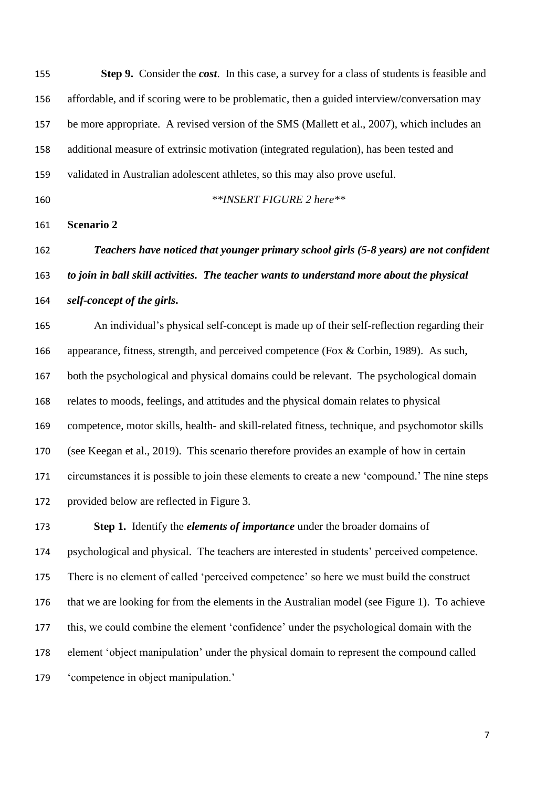**Step 9.** Consider the *cost*. In this case, a survey for a class of students is feasible and affordable, and if scoring were to be problematic, then a guided interview/conversation may be more appropriate. A revised version of the SMS (Mallett et al., 2007), which includes an additional measure of extrinsic motivation (integrated regulation), has been tested and validated in Australian adolescent athletes, so this may also prove useful.

# *\*\*INSERT FIGURE 2 here\*\**

**Scenario 2**

# *Teachers have noticed that younger primary school girls (5-8 years) are not confident to join in ball skill activities. The teacher wants to understand more about the physical self-concept of the girls***.**

 An individual's physical self-concept is made up of their self-reflection regarding their appearance, fitness, strength, and perceived competence (Fox & Corbin, 1989). As such, both the psychological and physical domains could be relevant. The psychological domain relates to moods, feelings, and attitudes and the physical domain relates to physical competence, motor skills, health- and skill-related fitness, technique, and psychomotor skills (see Keegan et al., 2019). This scenario therefore provides an example of how in certain circumstances it is possible to join these elements to create a new 'compound.' The nine steps provided below are reflected in Figure 3.

 **Step 1.** Identify the *elements of importance* under the broader domains of psychological and physical. The teachers are interested in students' perceived competence. There is no element of called 'perceived competence' so here we must build the construct that we are looking for from the elements in the Australian model (see Figure 1). To achieve this, we could combine the element 'confidence' under the psychological domain with the element 'object manipulation' under the physical domain to represent the compound called 'competence in object manipulation.'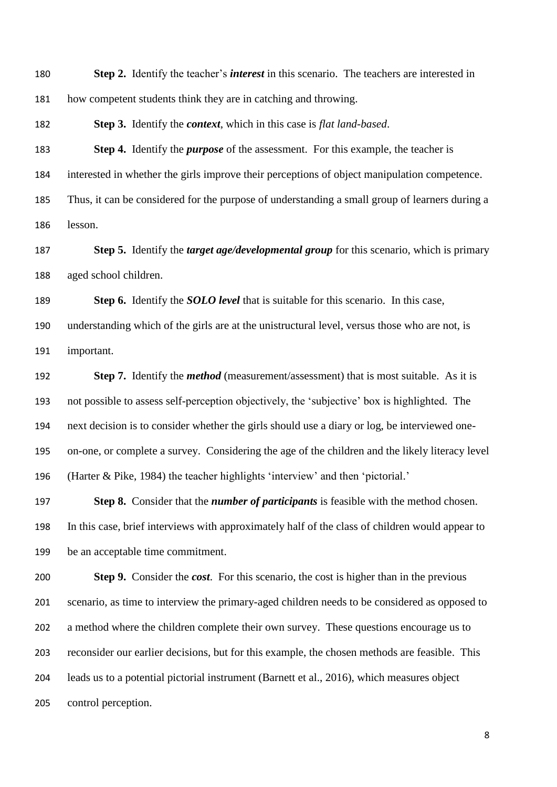**Step 2.** Identify the teacher's *interest* in this scenario. The teachers are interested in how competent students think they are in catching and throwing.

**Step 3.** Identify the *context*, which in this case is *flat land-based*.

 **Step 4.** Identify the *purpose* of the assessment. For this example, the teacher is interested in whether the girls improve their perceptions of object manipulation competence. Thus, it can be considered for the purpose of understanding a small group of learners during a lesson.

 **Step 5.** Identify the *target age/developmental group* for this scenario, which is primary aged school children.

**Step 6.** Identify the *SOLO level* that is suitable for this scenario. In this case,

 understanding which of the girls are at the unistructural level, versus those who are not, is important.

 **Step 7.** Identify the *method* (measurement/assessment) that is most suitable. As it is not possible to assess self-perception objectively, the 'subjective' box is highlighted. The next decision is to consider whether the girls should use a diary or log, be interviewed one- on-one, or complete a survey. Considering the age of the children and the likely literacy level (Harter & Pike, 1984) the teacher highlights 'interview' and then 'pictorial.'

 **Step 8.** Consider that the *number of participants* is feasible with the method chosen. In this case, brief interviews with approximately half of the class of children would appear to be an acceptable time commitment.

 **Step 9.** Consider the *cost*. For this scenario, the cost is higher than in the previous scenario, as time to interview the primary-aged children needs to be considered as opposed to a method where the children complete their own survey. These questions encourage us to reconsider our earlier decisions, but for this example, the chosen methods are feasible. This leads us to a potential pictorial instrument (Barnett et al., 2016), which measures object control perception.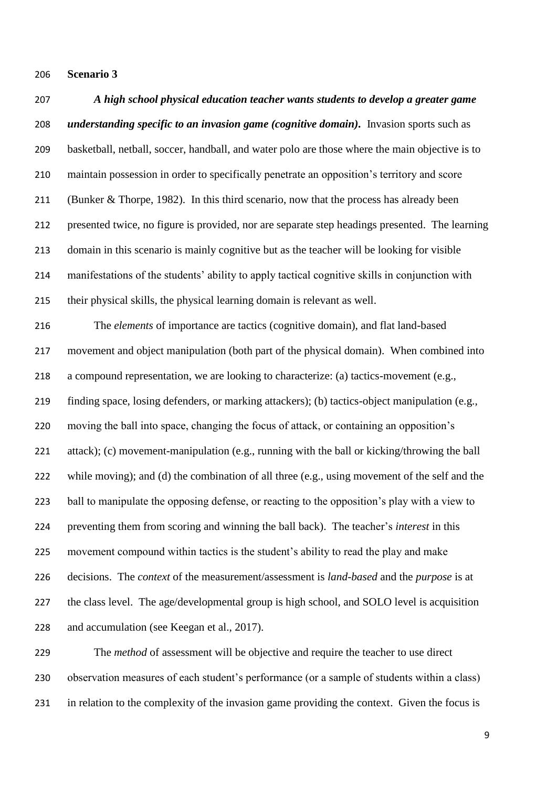#### **Scenario 3**

 *A high school physical education teacher wants students to develop a greater game understanding specific to an invasion game (cognitive domain).*Invasion sports such as basketball, netball, soccer, handball, and water polo are those where the main objective is to maintain possession in order to specifically penetrate an opposition's territory and score (Bunker & Thorpe, 1982). In this third scenario, now that the process has already been presented twice, no figure is provided, nor are separate step headings presented. The learning domain in this scenario is mainly cognitive but as the teacher will be looking for visible manifestations of the students' ability to apply tactical cognitive skills in conjunction with their physical skills, the physical learning domain is relevant as well.

 The *elements* of importance are tactics (cognitive domain), and flat land-based movement and object manipulation (both part of the physical domain). When combined into a compound representation, we are looking to characterize: (a) tactics-movement (e.g., finding space, losing defenders, or marking attackers); (b) tactics-object manipulation (e.g., moving the ball into space, changing the focus of attack, or containing an opposition's attack); (c) movement-manipulation (e.g., running with the ball or kicking/throwing the ball while moving); and (d) the combination of all three (e.g., using movement of the self and the ball to manipulate the opposing defense, or reacting to the opposition's play with a view to preventing them from scoring and winning the ball back). The teacher's *interest* in this movement compound within tactics is the student's ability to read the play and make decisions. The *context* of the measurement/assessment is *land-based* and the *purpose* is at 227 the class level. The age/developmental group is high school, and SOLO level is acquisition and accumulation (see Keegan et al., 2017).

 The *method* of assessment will be objective and require the teacher to use direct observation measures of each student's performance (or a sample of students within a class) in relation to the complexity of the invasion game providing the context. Given the focus is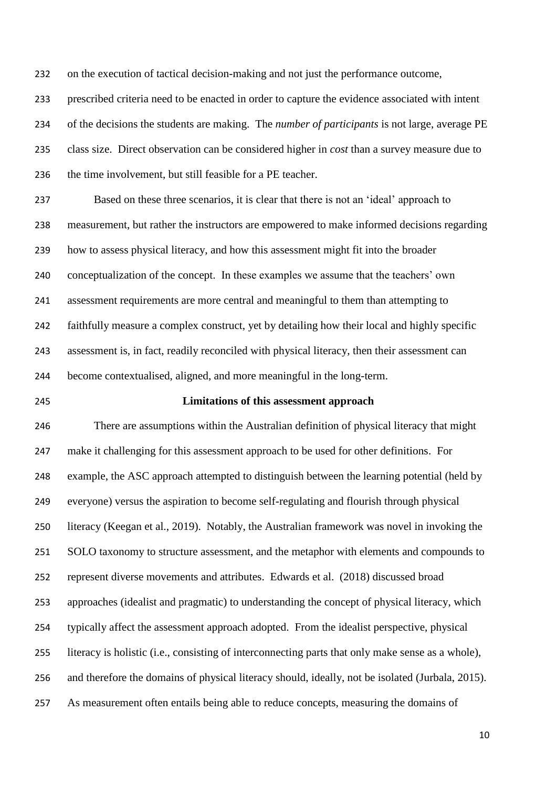on the execution of tactical decision-making and not just the performance outcome,

 prescribed criteria need to be enacted in order to capture the evidence associated with intent of the decisions the students are making. The *number of participants* is not large, average PE class size. Direct observation can be considered higher in *cost* than a survey measure due to the time involvement, but still feasible for a PE teacher.

 Based on these three scenarios, it is clear that there is not an 'ideal' approach to measurement, but rather the instructors are empowered to make informed decisions regarding how to assess physical literacy, and how this assessment might fit into the broader conceptualization of the concept. In these examples we assume that the teachers' own assessment requirements are more central and meaningful to them than attempting to faithfully measure a complex construct, yet by detailing how their local and highly specific assessment is, in fact, readily reconciled with physical literacy, then their assessment can become contextualised, aligned, and more meaningful in the long-term.

### **Limitations of this assessment approach**

 There are assumptions within the Australian definition of physical literacy that might make it challenging for this assessment approach to be used for other definitions. For example, the ASC approach attempted to distinguish between the learning potential (held by everyone) versus the aspiration to become self-regulating and flourish through physical literacy (Keegan et al., 2019). Notably, the Australian framework was novel in invoking the SOLO taxonomy to structure assessment, and the metaphor with elements and compounds to represent diverse movements and attributes. Edwards et al. (2018) discussed broad approaches (idealist and pragmatic) to understanding the concept of physical literacy, which typically affect the assessment approach adopted. From the idealist perspective, physical literacy is holistic (i.e., consisting of interconnecting parts that only make sense as a whole), and therefore the domains of physical literacy should, ideally, not be isolated (Jurbala, 2015). As measurement often entails being able to reduce concepts, measuring the domains of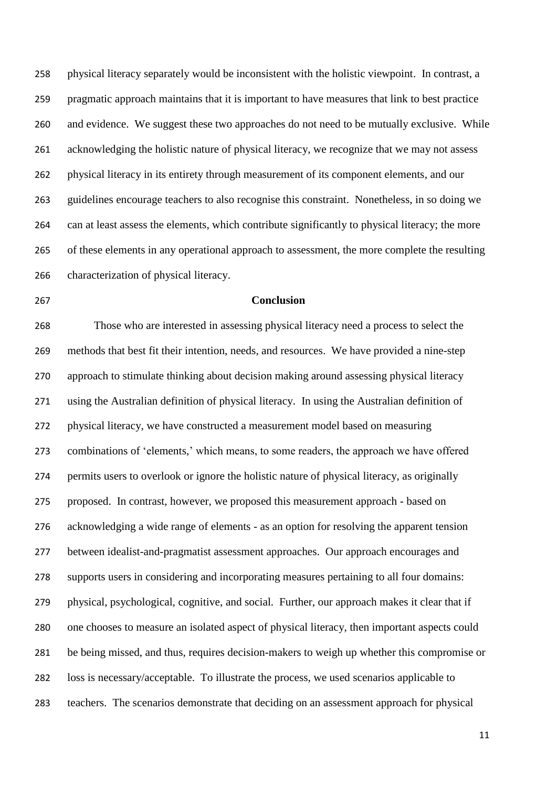physical literacy separately would be inconsistent with the holistic viewpoint. In contrast, a pragmatic approach maintains that it is important to have measures that link to best practice and evidence. We suggest these two approaches do not need to be mutually exclusive. While acknowledging the holistic nature of physical literacy, we recognize that we may not assess physical literacy in its entirety through measurement of its component elements, and our guidelines encourage teachers to also recognise this constraint. Nonetheless, in so doing we can at least assess the elements, which contribute significantly to physical literacy; the more of these elements in any operational approach to assessment, the more complete the resulting characterization of physical literacy.

#### **Conclusion**

 Those who are interested in assessing physical literacy need a process to select the methods that best fit their intention, needs, and resources. We have provided a nine-step approach to stimulate thinking about decision making around assessing physical literacy using the Australian definition of physical literacy. In using the Australian definition of physical literacy, we have constructed a measurement model based on measuring combinations of 'elements,' which means, to some readers, the approach we have offered permits users to overlook or ignore the holistic nature of physical literacy, as originally proposed. In contrast, however, we proposed this measurement approach - based on acknowledging a wide range of elements - as an option for resolving the apparent tension between idealist-and-pragmatist assessment approaches. Our approach encourages and supports users in considering and incorporating measures pertaining to all four domains: physical, psychological, cognitive, and social. Further, our approach makes it clear that if one chooses to measure an isolated aspect of physical literacy, then important aspects could be being missed, and thus, requires decision-makers to weigh up whether this compromise or loss is necessary/acceptable. To illustrate the process, we used scenarios applicable to teachers. The scenarios demonstrate that deciding on an assessment approach for physical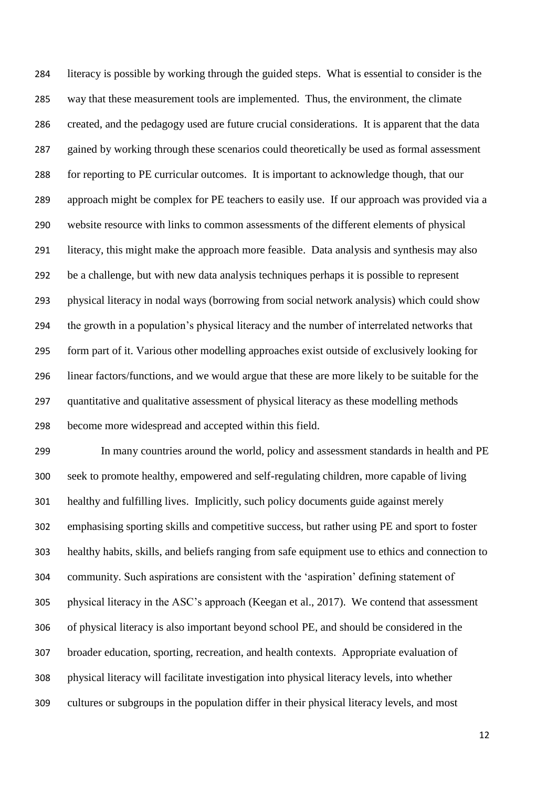literacy is possible by working through the guided steps. What is essential to consider is the way that these measurement tools are implemented. Thus, the environment, the climate created, and the pedagogy used are future crucial considerations. It is apparent that the data gained by working through these scenarios could theoretically be used as formal assessment for reporting to PE curricular outcomes. It is important to acknowledge though, that our approach might be complex for PE teachers to easily use. If our approach was provided via a website resource with links to common assessments of the different elements of physical literacy, this might make the approach more feasible. Data analysis and synthesis may also be a challenge, but with new data analysis techniques perhaps it is possible to represent physical literacy in nodal ways (borrowing from social network analysis) which could show the growth in a population's physical literacy and the number of interrelated networks that form part of it. Various other modelling approaches exist outside of exclusively looking for linear factors/functions, and we would argue that these are more likely to be suitable for the quantitative and qualitative assessment of physical literacy as these modelling methods become more widespread and accepted within this field.

 In many countries around the world, policy and assessment standards in health and PE seek to promote healthy, empowered and self-regulating children, more capable of living healthy and fulfilling lives. Implicitly, such policy documents guide against merely emphasising sporting skills and competitive success, but rather using PE and sport to foster healthy habits, skills, and beliefs ranging from safe equipment use to ethics and connection to community. Such aspirations are consistent with the 'aspiration' defining statement of physical literacy in the ASC's approach (Keegan et al., 2017). We contend that assessment of physical literacy is also important beyond school PE, and should be considered in the broader education, sporting, recreation, and health contexts. Appropriate evaluation of physical literacy will facilitate investigation into physical literacy levels, into whether cultures or subgroups in the population differ in their physical literacy levels, and most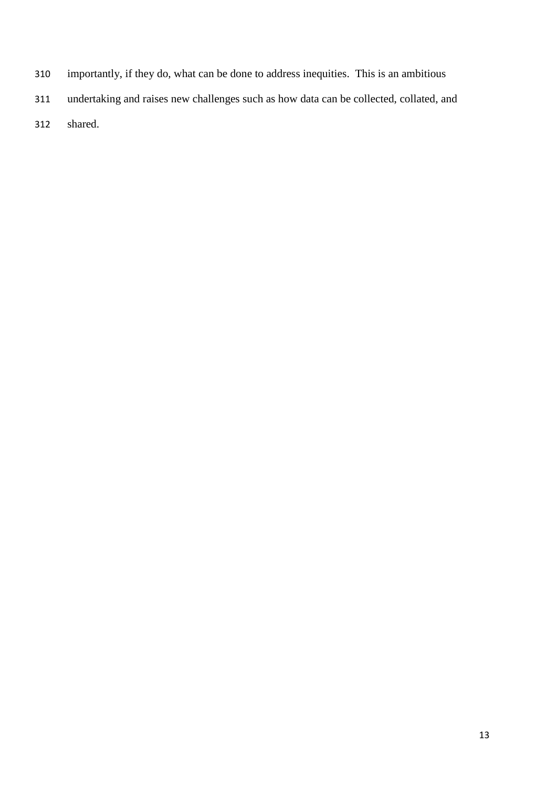- importantly, if they do, what can be done to address inequities. This is an ambitious
- undertaking and raises new challenges such as how data can be collected, collated, and
- shared.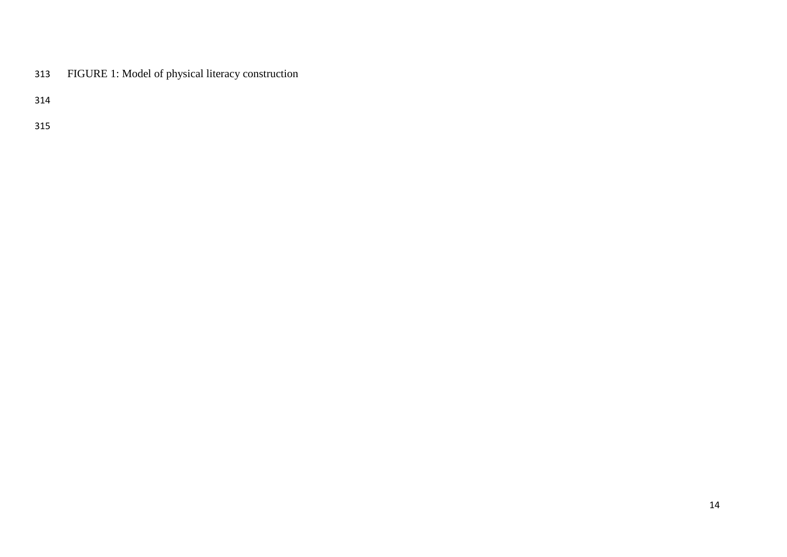FIGURE 1: Model of physical literacy construction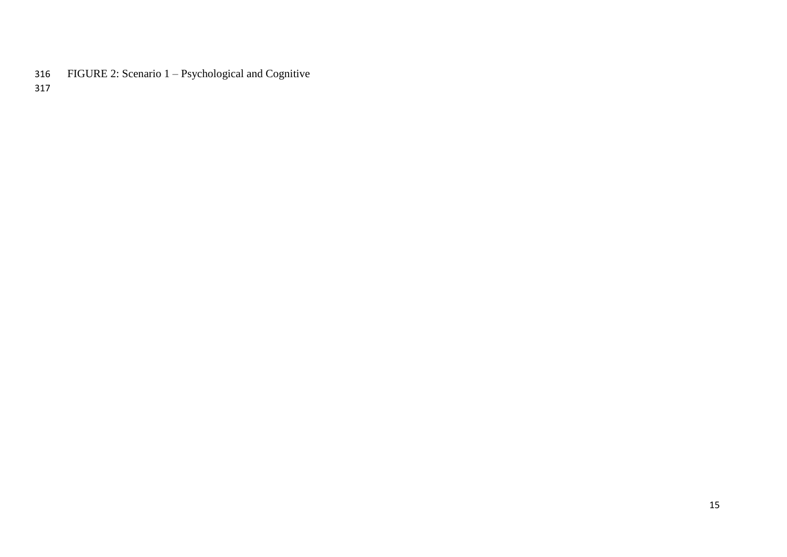FIGURE 2: Scenario 1 – Psychological and Cognitive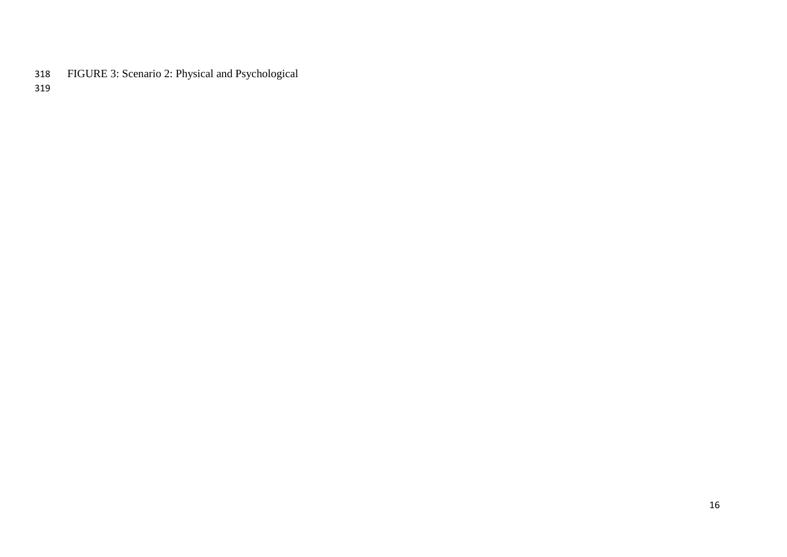FIGURE 3: Scenario 2: Physical and Psychological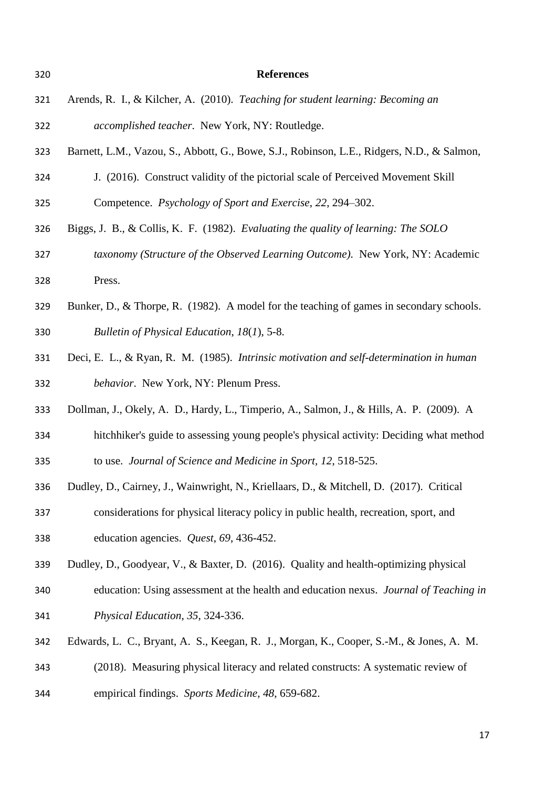| 320 | <b>References</b>                                                                          |
|-----|--------------------------------------------------------------------------------------------|
| 321 | Arends, R. I., & Kilcher, A. (2010). Teaching for student learning: Becoming an            |
| 322 | accomplished teacher. New York, NY: Routledge.                                             |
| 323 | Barnett, L.M., Vazou, S., Abbott, G., Bowe, S.J., Robinson, L.E., Ridgers, N.D., & Salmon, |
| 324 | J. (2016). Construct validity of the pictorial scale of Perceived Movement Skill           |
| 325 | Competence. Psychology of Sport and Exercise, 22, 294–302.                                 |
| 326 | Biggs, J. B., & Collis, K. F. (1982). Evaluating the quality of learning: The SOLO         |
| 327 | taxonomy (Structure of the Observed Learning Outcome). New York, NY: Academic              |
| 328 | Press.                                                                                     |
| 329 | Bunker, D., & Thorpe, R. (1982). A model for the teaching of games in secondary schools.   |
| 330 | Bulletin of Physical Education, 18(1), 5-8.                                                |
| 331 | Deci, E. L., & Ryan, R. M. (1985). Intrinsic motivation and self-determination in human    |
| 332 | behavior. New York, NY: Plenum Press.                                                      |
| 333 | Dollman, J., Okely, A. D., Hardy, L., Timperio, A., Salmon, J., & Hills, A. P. (2009). A   |
| 334 | hitchhiker's guide to assessing young people's physical activity: Deciding what method     |
| 335 | to use. Journal of Science and Medicine in Sport, 12, 518-525.                             |
| 336 | Dudley, D., Cairney, J., Wainwright, N., Kriellaars, D., & Mitchell, D. (2017). Critical   |
| 337 | considerations for physical literacy policy in public health, recreation, sport, and       |
| 338 | education agencies. Quest, 69, 436-452.                                                    |
| 339 | Dudley, D., Goodyear, V., & Baxter, D. (2016). Quality and health-optimizing physical      |
| 340 | education: Using assessment at the health and education nexus. Journal of Teaching in      |
| 341 | Physical Education, 35, 324-336.                                                           |
| 342 | Edwards, L. C., Bryant, A. S., Keegan, R. J., Morgan, K., Cooper, S.-M., & Jones, A. M.    |
| 343 | (2018). Measuring physical literacy and related constructs: A systematic review of         |
| 344 | empirical findings. Sports Medicine, 48, 659-682.                                          |
|     |                                                                                            |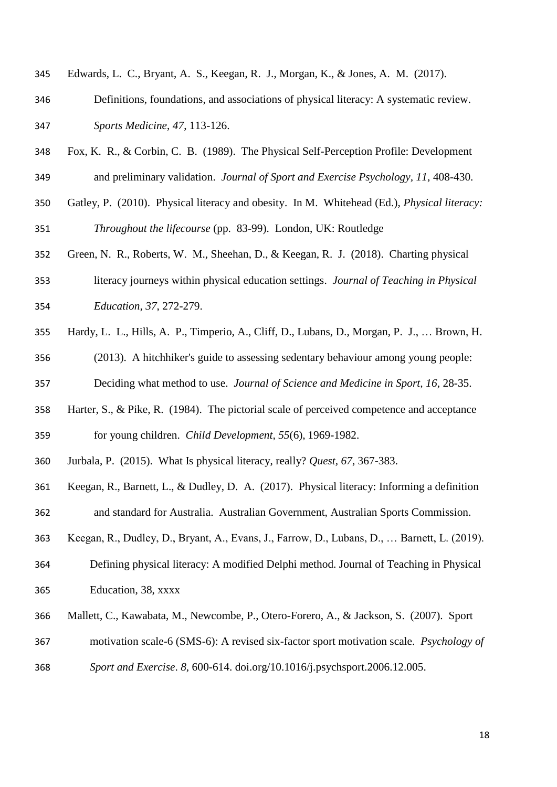- Edwards, L. C., Bryant, A. S., Keegan, R. J., Morgan, K., & Jones, A. M. (2017).
- Definitions, foundations, and associations of physical literacy: A systematic review. *Sports Medicine*, *47*, 113-126.
- Fox, K. R., & Corbin, C. B. (1989). The Physical Self-Perception Profile: Development and preliminary validation. *Journal of Sport and Exercise Psychology, 11*, 408-430.
- Gatley, P. (2010). Physical literacy and obesity. In M. Whitehead (Ed.), *Physical literacy:*

*Throughout the lifecourse* (pp. 83-99). London, UK: Routledge

- Green, N. R., Roberts, W. M., Sheehan, D., & Keegan, R. J. (2018). Charting physical
- literacy journeys within physical education settings. *Journal of Teaching in Physical Education, 37*, 272-279.
- Hardy, L. L., Hills, A. P., Timperio, A., Cliff, D., Lubans, D., Morgan, P. J., … Brown, H.
- (2013). A hitchhiker's guide to assessing sedentary behaviour among young people: Deciding what method to use. *Journal of Science and Medicine in Sport, 16*, 28-35.
- Harter, S., & Pike, R. (1984). The pictorial scale of perceived competence and acceptance for young children. *Child Development, 55*(6), 1969-1982.
- Jurbala, P. (2015). What Is physical literacy, really? *Quest, 67*, 367-383.
- Keegan, R., Barnett, L., & Dudley, D. A. (2017). Physical literacy: Informing a definition and standard for Australia. Australian Government, Australian Sports Commission.
- Keegan, R., Dudley, D., Bryant, A., Evans, J., Farrow, D., Lubans, D., … Barnett, L. (2019).
- Defining physical literacy: A modified Delphi method. Journal of Teaching in Physical Education, 38, xxxx
- Mallett, C., Kawabata, M., Newcombe, P., Otero-Forero, A., & Jackson, S. (2007). Sport
- motivation scale-6 (SMS-6): A revised six-factor sport motivation scale. *Psychology of*
- *Sport and Exercise*. *8*, 600-614. doi.org/10.1016/j.psychsport.2006.12.005.